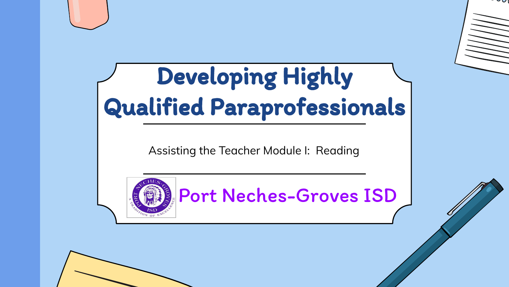#### Developing Highly Qualified Paraprofessionals

Assisting the Teacher Module I: Reading



Port Neches-Groves ISD

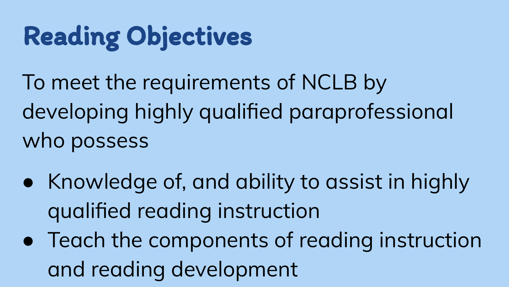#### Reading Objectives

To meet the requirements of NCLB by developing highly qualified paraprofessional who possess

- Knowledge of, and ability to assist in highly qualified reading instruction
- Teach the components of reading instruction and reading development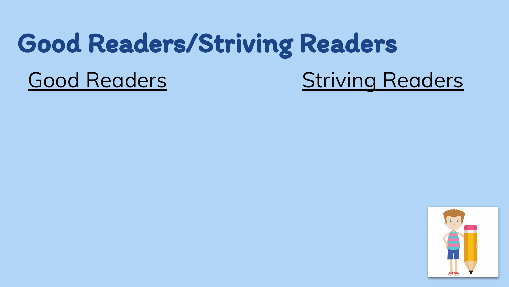#### Good Readers/Striving Readers

#### Good Readers **Striving Readers**

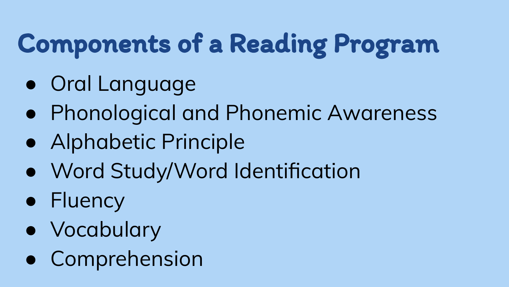#### Components of a Reading Program

- Oral Language
- Phonological and Phonemic Awareness
- Alphabetic Principle
- Word Study/Word Identification
- Fluency
- Vocabulary
- Comprehension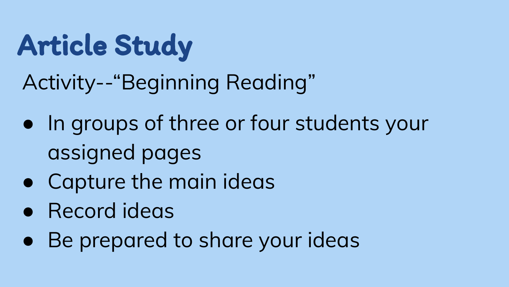Article Study

Activity--"Beginning Reading"

- In groups of three or four students your assigned pages
- Capture the main ideas
- Record ideas
- Be prepared to share your ideas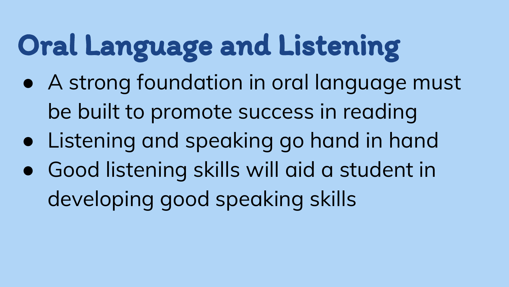# Oral Language and Listening

- A strong foundation in oral language must be built to promote success in reading
- Listening and speaking go hand in hand
- Good listening skills will aid a student in developing good speaking skills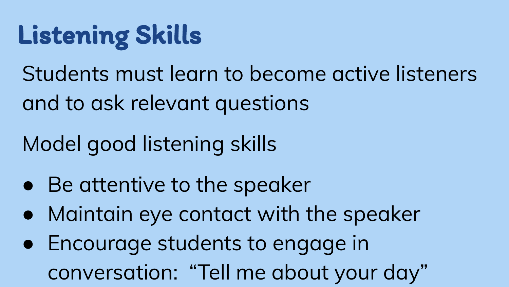#### Listening Skills

Students must learn to become active listeners and to ask relevant questions

#### Model good listening skills

- Be attentive to the speaker
- Maintain eye contact with the speaker
- Encourage students to engage in conversation: "Tell me about your day"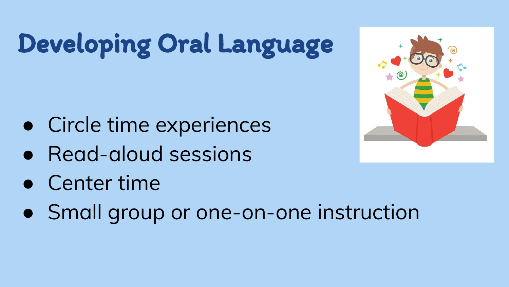# Developing Oral Language

- Circle time experiences
- Read-aloud sessions
- Center time
- Small group or one-on-one instruction

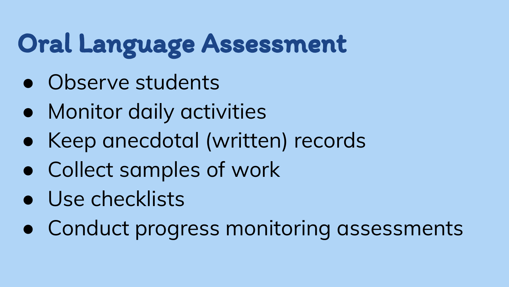#### Oral Language Assessment

- Observe students
- Monitor daily activities
- Keep anecdotal (written) records
- Collect samples of work
- Use checklists
- Conduct progress monitoring assessments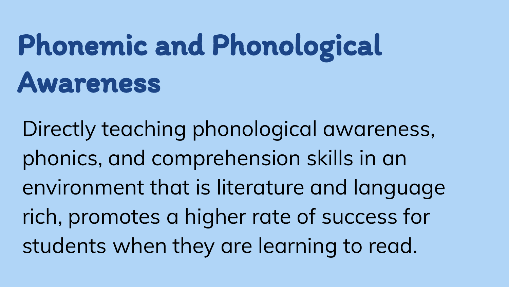# Phonemic and Phonological Awareness

Directly teaching phonological awareness, phonics, and comprehension skills in an environment that is literature and language rich, promotes a higher rate of success for students when they are learning to read.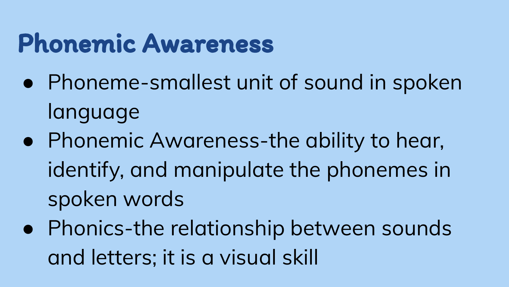#### Phonemic Awareness

- Phoneme-smallest unit of sound in spoken language
- Phonemic Awareness-the ability to hear, identify, and manipulate the phonemes in spoken words
- Phonics-the relationship between sounds and letters; it is a visual skill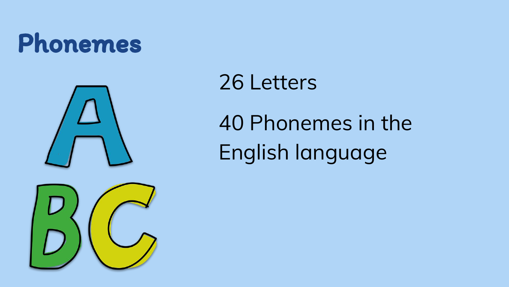#### Phonemes



#### 26 Letters

40 Phonemes in the English language

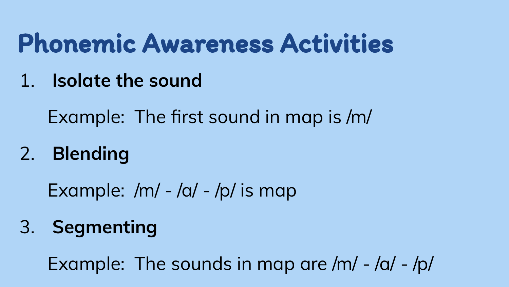#### Phonemic Awareness Activities

1. **Isolate the sound**

Example: The first sound in map is /m/

2. **Blending**

Example:  $/m/ - /a/ - /p/$  is map

3. **Segmenting**

Example: The sounds in map are /m/ - /a/ - /p/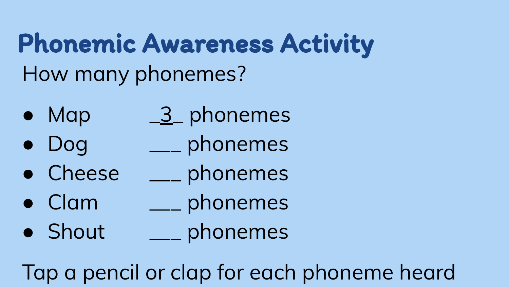Phonemic Awareness Activity How many phonemes?

- $\bullet$  Map  $\frac{3}{2}$  phonemes
- Dog \_\_\_ phonemes
- Cheese \_\_\_ phonemes
- Clam \_\_\_ phonemes
- Shout \_\_\_ phonemes

Tap a pencil or clap for each phoneme heard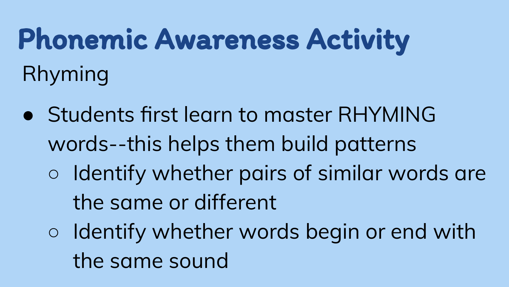# Phonemic Awareness Activity Rhyming

- Students first learn to master RHYMING words--this helps them build patterns ○ Identify whether pairs of similar words are the same or different
	- Identify whether words begin or end with the same sound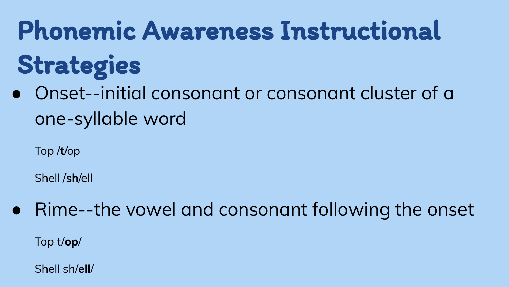# Phonemic Awareness Instructional Strategies

Onset--initial consonant or consonant cluster of a one-syllable word

Top /**t**/op

Shell /**sh**/ell

Rime--the vowel and consonant following the onset Top t/**op**/

Shell sh/**ell**/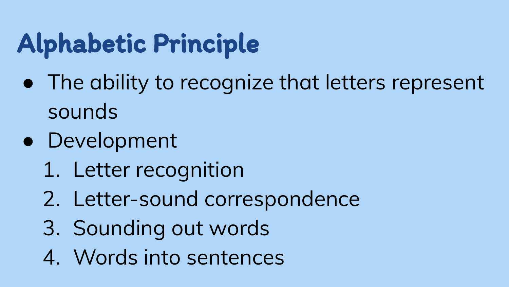#### Alphabetic Principle

- The ability to recognize that letters represent sounds
- Development
	- 1. Letter recognition
	- 2. Letter-sound correspondence
	- 3. Sounding out words
	- 4. Words into sentences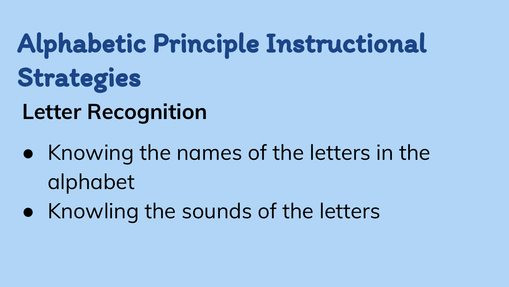# Alphabetic Principle Instructional Strategies

#### **Letter Recognition**

- Knowing the names of the letters in the alphabet
- Knowling the sounds of the letters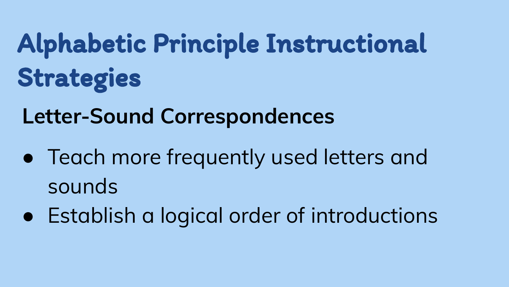## Alphabetic Principle Instructional Strategies

**Letter-Sound Correspondences**

- Teach more frequently used letters and sounds
- Establish a logical order of introductions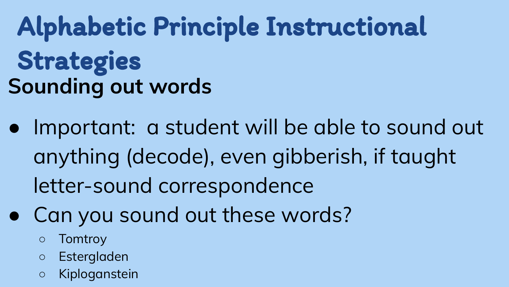Alphabetic Principle Instructional Strategies **Sounding out words**

- Important: a student will be able to sound out anything (decode), even gibberish, if taught letter-sound correspondence
- Can you sound out these words?
	- Tomtroy
	- Estergladen
	- Kiploganstein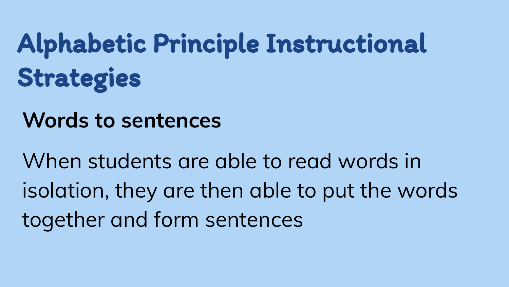# Alphabetic Principle Instructional Strategies

**Words to sentences**

When students are able to read words in isolation, they are then able to put the words together and form sentences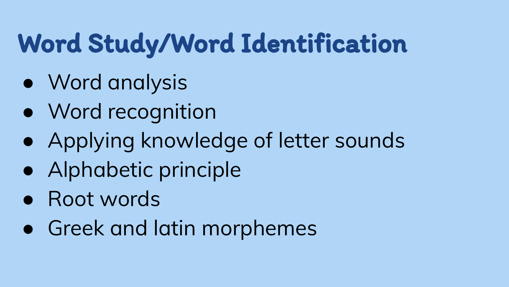#### Word Study/Word Identification

- Word analysis
- Word recognition
- Applying knowledge of letter sounds
- Alphabetic principle
- Root words
- Greek and latin morphemes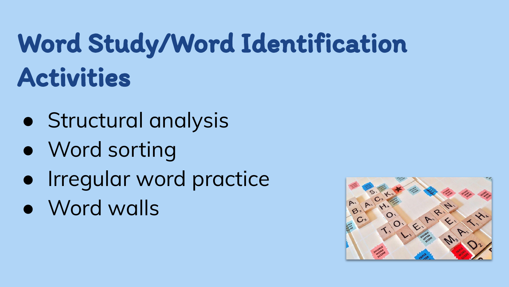#### Word Study/Word Identification Activities

- Structural analysis
- Word sorting
- Irregular word practice
- Word walls

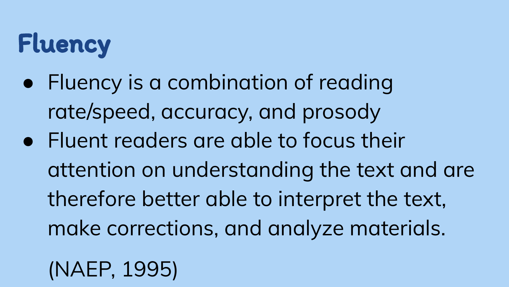### Fluency

- Fluency is a combination of reading rate/speed, accuracy, and prosody
- Fluent readers are able to focus their attention on understanding the text and are therefore better able to interpret the text, make corrections, and analyze materials.
	- (NAEP, 1995)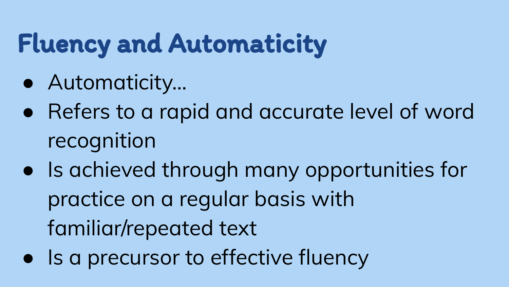#### Fluency and Automaticity

- Automaticity…
- Refers to a rapid and accurate level of word recognition
- Is achieved through many opportunities for practice on a regular basis with familiar/repeated text
- Is a precursor to effective fluency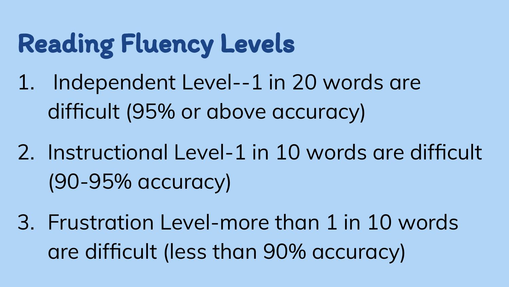#### Reading Fluency Levels

- 1. Independent Level--1 in 20 words are difficult (95% or above accuracy)
- 2. Instructional Level-1 in 10 words are difficult (90-95% accuracy)
- 3. Frustration Level-more than 1 in 10 words are difficult (less than 90% accuracy)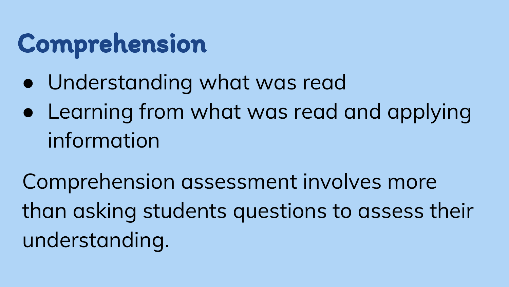#### Comprehension

- Understanding what was read
- Learning from what was read and applying information

Comprehension assessment involves more than asking students questions to assess their understanding.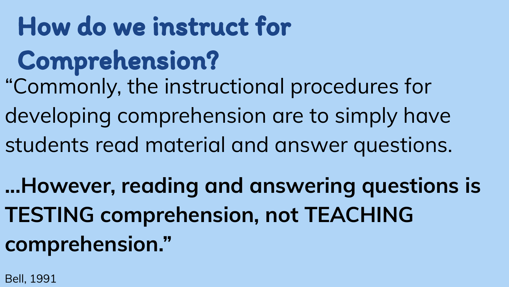#### How do we instruct for

#### Comprehension?

- "Commonly, the instructional procedures for
- developing comprehension are to simply have
- students read material and answer questions.

**...However, reading and answering questions is TESTING comprehension, not TEACHING comprehension."**

Bell, 1991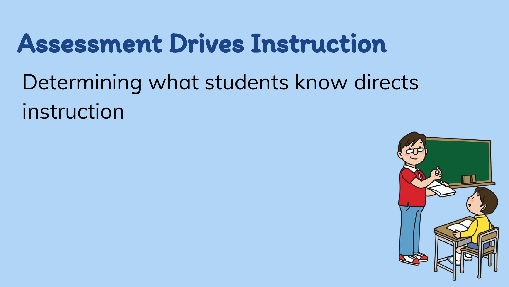#### Assessment Drives Instruction

Determining what students know directs instruction

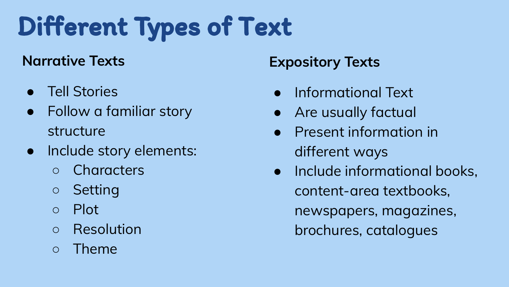## Different Types of Text

#### **Narrative Texts**

- Tell Stories
- Follow a familiar story structure
- Include story elements:
	- Characters
	- Setting
	- Plot
	- Resolution
	- Theme

#### **Expository Texts**

- Informational Text
- Are usually factual
- Present information in different ways
- Include informational books, content-area textbooks, newspapers, magazines, brochures, catalogues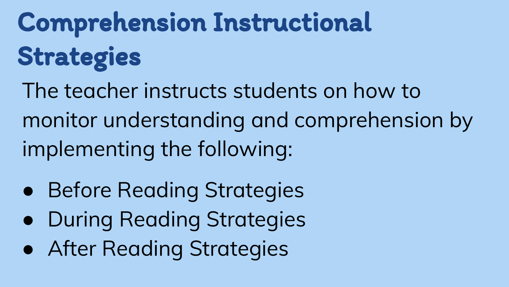# Comprehension Instructional Strategies

The teacher instructs students on how to monitor understanding and comprehension by implementing the following:

- Before Reading Strategies
- During Reading Strategies
- **After Reading Strategies**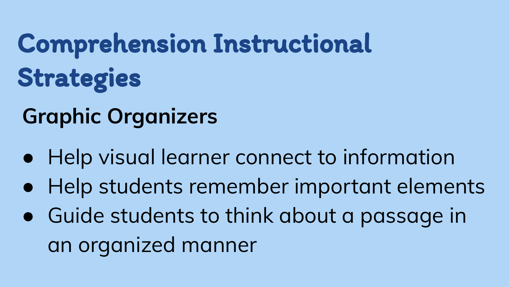# Comprehension Instructional Strategies

#### **Graphic Organizers**

- Help visual learner connect to information
- Help students remember important elements
- Guide students to think about a passage in an organized manner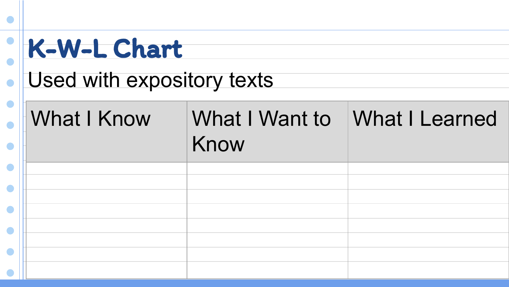| K-W-L Chart                |                        |                |
|----------------------------|------------------------|----------------|
| Used with expository texts |                        |                |
|                            |                        |                |
| <b>What I Know</b>         | What I Want to<br>Know | What I Learned |
|                            |                        |                |
|                            |                        |                |
|                            |                        |                |
|                            |                        |                |
|                            |                        |                |
|                            |                        |                |
|                            |                        |                |